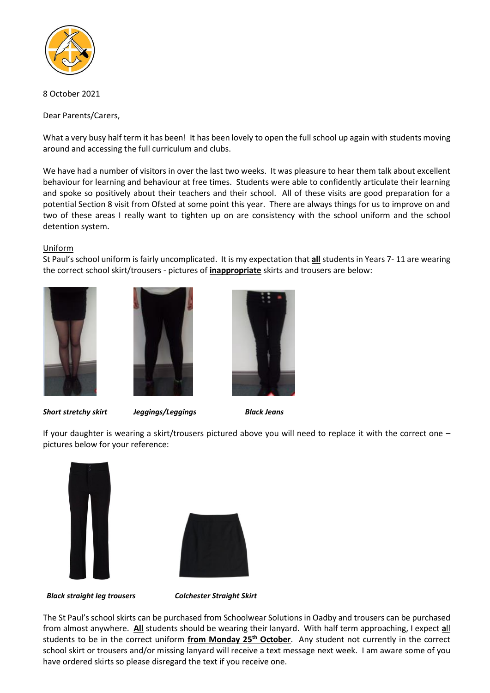

## 8 October 2021

Dear Parents/Carers,

What a very busy half term it has been! It has been lovely to open the full school up again with students moving around and accessing the full curriculum and clubs.

We have had a number of visitors in over the last two weeks. It was pleasure to hear them talk about excellent behaviour for learning and behaviour at free times. Students were able to confidently articulate their learning and spoke so positively about their teachers and their school. All of these visits are good preparation for a potential Section 8 visit from Ofsted at some point this year. There are always things for us to improve on and two of these areas I really want to tighten up on are consistency with the school uniform and the school detention system.

### Uniform

St Paul's school uniform is fairly uncomplicated. It is my expectation that **all** students in Years 7- 11 are wearing the correct school skirt/trousers - pictures of **inappropriate** skirts and trousers are below:







*Short stretchy skirt Jeggings/Leggings Black Jeans*

If your daughter is wearing a skirt/trousers pictured above you will need to replace it with the correct one – pictures below for your reference:





 *Black straight leg trousers Colchester Straight Skirt*

The St Paul's schoolskirts can be purchased from Schoolwear Solutions in Oadby and trousers can be purchased from almost anywhere. **All** students should be wearing their lanyard. With half term approaching, I expect **a**ll students to be in the correct uniform **from Monday 25th October**. Any student not currently in the correct school skirt or trousers and/or missing lanyard will receive a text message next week. I am aware some of you have ordered skirts so please disregard the text if you receive one.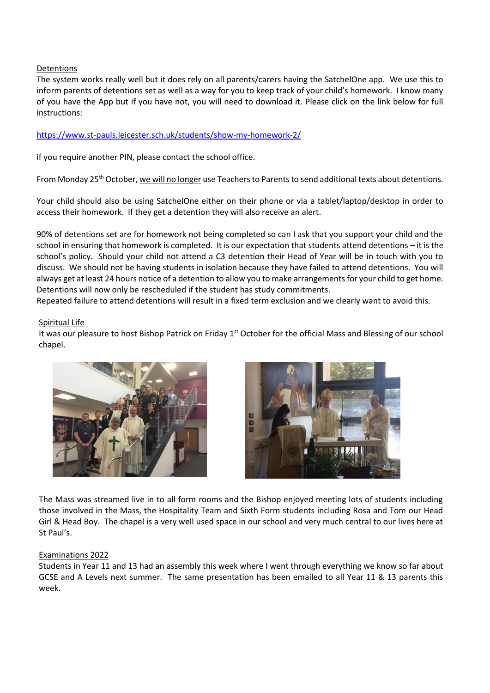### Detentions

The system works really well but it does rely on all parents/carers having the SatchelOne app. We use this to inform parents of detentions set as well as a way for you to keep track of your child's homework. I know many of you have the App but if you have not, you will need to download it. Please click on the link below for full instructions:

### <https://www.st-pauls.leicester.sch.uk/students/show-my-homework-2/>

if you require another PIN, please contact the school office.

From Monday 25<sup>th</sup> October, we will no longer use Teachers to Parents to send additional texts about detentions.

Your child should also be using SatchelOne either on their phone or via a tablet/laptop/desktop in order to access their homework. If they get a detention they will also receive an alert.

90% of detentions set are for homework not being completed so can I ask that you support your child and the school in ensuring that homework is completed. It is our expectation that students attend detentions – it is the school's policy. Should your child not attend a C3 detention their Head of Year will be in touch with you to discuss. We should not be having students in isolation because they have failed to attend detentions. You will always get at least 24 hours notice of a detention to allow you to make arrangements for your child to get home. Detentions will now only be rescheduled if the student has study commitments.

Repeated failure to attend detentions will result in a fixed term exclusion and we clearly want to avoid this.

#### Spiritual Life

It was our pleasure to host Bishop Patrick on Friday 1<sup>st</sup> October for the official Mass and Blessing of our school chapel.





The Mass was streamed live in to all form rooms and the Bishop enjoyed meeting lots of students including those involved in the Mass, the Hospitality Team and Sixth Form students including Rosa and Tom our Head Girl & Head Boy. The chapel is a very well used space in our school and very much central to our lives here at St Paul's.

#### Examinations 2022

Students in Year 11 and 13 had an assembly this week where I went through everything we know so far about GCSE and A Levels next summer. The same presentation has been emailed to all Year 11 & 13 parents this week.